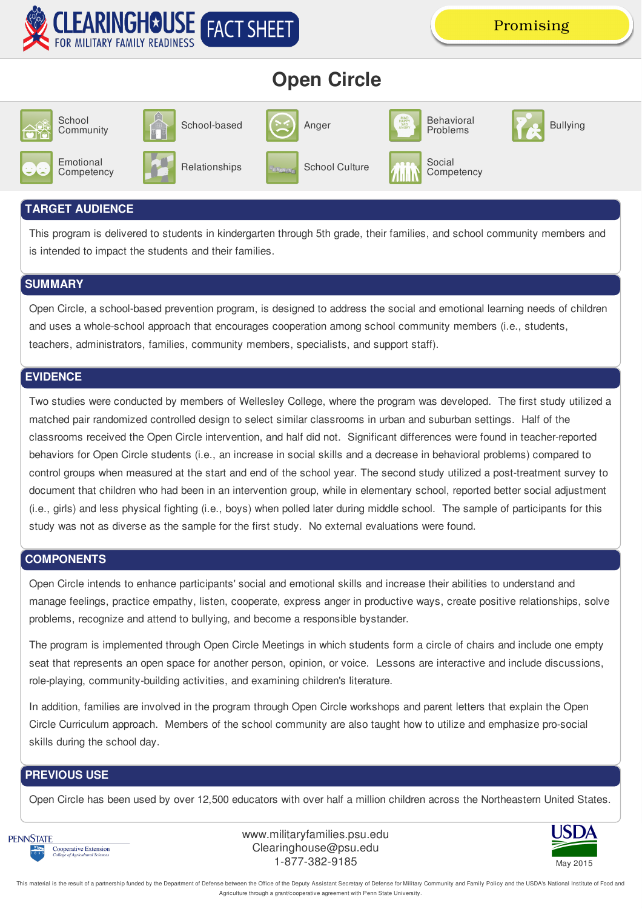

# **Open Circle**



# **TARGET AUDIENCE**

This program is delivered to students in kindergarten through 5th grade, their families, and school community members and is intended to impact the students and their families.

# **SUMMARY**

Open Circle, a school-based prevention program, is designed to address the social and emotional learning needs of children and uses a whole-school approach that encourages cooperation among school community members (i.e., students, teachers, administrators, families, community members, specialists, and support staff).

# **EVIDENCE**

Two studies were conducted by members of Wellesley College, where the program was developed. The first study utilized a matched pair randomized controlled design to select similar classrooms in urban and suburban settings. Half of the classrooms received the Open Circle intervention, and half did not. Significant differences were found in teacher-reported behaviors for Open Circle students (i.e., an increase in social skills and a decrease in behavioral problems) compared to control groups when measured at the start and end of the school year. The second study utilized a post-treatment survey to document that children who had been in an intervention group, while in elementary school, reported better social adjustment (i.e., girls) and less physical fighting (i.e., boys) when polled later during middle school. The sample of participants for this study was not as diverse as the sample for the first study. No external evaluations were found.

# **COMPONENTS**

Open Circle intends to enhance participants' social and emotional skills and increase their abilities to understand and manage feelings, practice empathy, listen, cooperate, express anger in productive ways, create positive relationships, solve problems, recognize and attend to bullying, and become a responsible bystander.

The program is implemented through Open Circle Meetings in which students form a circle of chairs and include one empty seat that represents an open space for another person, opinion, or voice. Lessons are interactive and include discussions, role-playing, community-building activities, and examining children's literature.

In addition, families are involved in the program through Open Circle workshops and parent letters that explain the Open Circle Curriculum approach. Members of the school community are also taught how to utilize and emphasize pro-social skills during the school day.

# **PREVIOUS USE**

Open Circle has been used by over 12,500 educators with over half a million children across the Northeastern United States.



www.militaryfamilies.psu.edu Clearinghouse@psu.edu 1-877-382-9185 May 2015